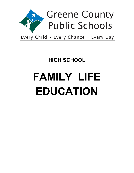

Every Child · Every Chance · Every Day

## **HIGH SCHOOL**

# **FAMILY LIFE EDUCATION**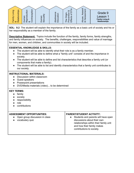

**SOL: 9.2** The student will explain the importance of the family as a basic unit of society and his or her responsibility as a member of the family.

**Descriptive Statement:** Topics include the function of the family, family forms, family strengths, and family influences on society. The benefits, challenges, responsibilities and value of marriage for men, women, and children, and communities in society will be included.

#### **ESSENTIAL KNOWLEDGE & SKILLS:**

- The student will be able to identify what their role is as a family member.
- The student will be able to define what a "family unit" consists of and the importance in society.
- The student will be able to define and list characteristics that describe a family unit (or components that make a family).
- The student will be able to list and identify characteristics that a family unit contributes to our society.

#### **INSTRUCTIONAL MATERIALS:**

- Discussion within classroom
- Guest speakers
- Powerpoint presentations
- DVD/Media materials (video)... to be determined

- family
- society
- responsibility
- role
- contributions

| <b>ASSESSMENT OPPORTUNITIES:</b><br>Open group discussion in class<br>vocabulary quiz | <b>PARENT/STUDENT ACTIVITY:</b><br>Students and parents will have open<br>discussions about their own<br>relationships within their family unit<br>and how their family makes<br>contributions to society. |
|---------------------------------------------------------------------------------------|------------------------------------------------------------------------------------------------------------------------------------------------------------------------------------------------------------|
|                                                                                       |                                                                                                                                                                                                            |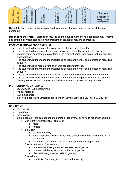

**SOL: 9.3** The student will recognize the development of sexuality as an aspect of the total personality.

**Descriptive Statement:** Discussion focuses on the development of one's sexual identity. Internal and external conflicts associated with problems of sexual identity are addressed.

#### **ESSENTIAL KNOWLEDGE & SKILLS:**

- The student will understand the components of one's sexual identity.
- The student will recognize the components of sexual identity including the basic perceptions of oneself as male or female, as a sexual being, their sexual values, and their gender identity.
- The student will understand the importance of open and honest communication regarding sexuality.
- The student will be made aware of diverse sexual preferences.
- The student will understand the importance of open and honest communication regarding sexuality.
- The student will recognize that individual values about sexuality are based in the home.
- The student will increase their awareness and understanding of different value systems relating to sexuality and different secdual lifestyles that individuals may choose.

#### **INSTRUCTIONAL MATERIALS:**

- DVD/Videos (to be determined)
- Medial Materials
- Guest Speakers
- Self-help books (Life Strategies for Teens by, Jay McGraw and Dr. Phillip C. McGraw)

- Personality
- Tolerance
- Acceptance
- Sexual Identity the component of a person's identity that pertains to his or her sexuality
	- Self identity / perception of one's self
		- male
		- female
	- Sexuality
		- sexy vs. not sexy
		- libido sex drive (it's normal to have secual feeling snd desires known as sex drivers)
		- sexual restraint controlling sexual urges by not acting on them
	- Sexual orientation (defined only)
		- heterosexual (being attracted to the opposite gender)
		- homosexual (being attracted to the same gender)
		- bisexual (being attracted to both genders)
	- Sex values
		- permissive (to freely give of one's self sexually)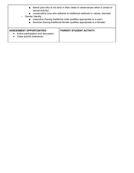| liberal (one who is not strict in their views or observances when it comes to<br>sexual activity)<br>conservative (one who adheres to traditional methods or values; discreet)<br><b>Gender Identity</b><br>$\circ$<br>masculine (having traditional male qualities appropriate to a man)<br>feminine (having traditional female qualities appropriate to a female) |                                  |  |
|---------------------------------------------------------------------------------------------------------------------------------------------------------------------------------------------------------------------------------------------------------------------------------------------------------------------------------------------------------------------|----------------------------------|--|
| <b>ASSESSMENT OPPORTUNITIES:</b><br>Active participation and discussion<br>$\bullet$<br>Class activity (tolerance)                                                                                                                                                                                                                                                  | <b>PARENT/ STUDENT ACTIVITY:</b> |  |

٦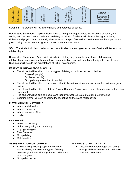

**SOL: 9.5** The student will review the nature and purposes of dating.

**Descriptive Statement:** Topics include understanding family guidelines, the functions of dating, and coping with the pressures experienced in dating situations. Students will discuss the signs of dating violence and physically and mentally abusive relationships. Discussion also focuses on the importance of group dating, rather than dating as a couple, in early adolescence.

**SOL:** The student will describe his or her own attitudes concerning expectations of self and interpersonal relationships.

**Descriptive Statement:** Appropriate friendships, dating or group activities, stages of developing relationships, assertiveness, types of love, communication , and individual and family roles are stressed. Discussion will include the expectations of virtual relationships.

#### **ESSENTIAL KNOWLEDGE & SKILLS:**

- The student will be able to discuss types of dating, to include, but not limited to
	- Single (2 people)
	- Double (4 people)
	- Group dating (more than 4 people)
- The student will be able to discuss and identify benefits or single dating vs. double dating vs. group dating.
- The student will be able to establish "Dating Standards", (i.e.: age, types, places to go), that are age appropriate
- The student will be able to discuss and identify pressures related to dating relationships.
- Examine his/her value in choosing friend, dating partners and relationships.

#### **INSTRUCTIONAL MATERIALS:**

- school social worker
- school counselor
- school resource officer
- media

#### **KEY TERMS:**

- Dating (in general)
- Guidelines (dating and personal)
- Coping strategies
- Peer Pressure
- Group dating
- Relationships

#### **ASSESSMENT OPPORTUNITIES:**

- Brainstorming (allow groups to brainstorm various dating activities and types of dating; compare girls ideas with boys ideas… share with alternate group
- Group discussion

#### PARENT/ STUDENT ACTIVITY:

● Discuss with parents regarding dating rules/guidelines that relate to their own family and standards.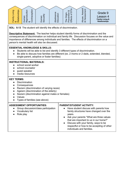

**SOL: 9.13** The student will identify the effects of discrimination.

**Descriptive Statement:** The teacher helps student identify forms of discrimination and the consequences of discrimination on individual and family life. Discussion focuses on the value and importance of differences among individuals and families. The effects of discrimination on a person's mental health will also be discussed.

#### **ESSENTIAL KNOWLEDGE & SKILLS:**

- Students will be able to list and identify 3 different types of discrimination.
- Be able to discuss how families are different (ex. 2 moms or 2 dads, extended, blended, single-parent, adoptive or foster families)

#### **INSTRUCTIONAL MATERIALS:**

- school social worker
- school counselor
- guest speaker
- media resources

- Discrimination
- Consequences
- Racism (discrimination of varying races)
- Ageism (discrimination of the elderly)
- Sexism (discrimination against males or females)
- Values
- Types of families (see above)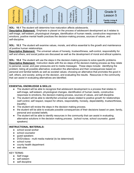

**SOL: 10.1** The student will determine how maturation affects adolescents.

**Descriptive Statement:** Emphasis is placed on the process of adolescent development as it relates to self-image, self-esteem, physiological changes, identification of human needs, constructive responses to emotions, positive mental health practices the decision-making process, sources of values, and self-discipline.

**SOL: 10.3** The student will examine values, morals, and ethics essential to the growth and maintenance of positive human relationships.

**Descriptive Statement:** The universal values of honesty, trustworthiness, self-control, responsibility for self and others, and social justice are discussed as well as the development of moral and ethical systems.

**SOL: 10.4** The student will use the steps in the decision-making process to solve specific problems. **Descriptive Statement:** Instruction deals with the six steps of the decision-making process as they relate to personal, social, and peer pressures and to media messages. These steps include: identifying the problem; listing all possible alternative; evaluation the alternatives and their consequences based on personal and familial beliefs as well as societal values; choosing an alternative that promotes the good in self, others, and society; acting on the decision, and evaluating the results. Resources in the community that can assist in evaluating alternatives are identified.

#### **ESSENTIAL KNOWLEDGE & SKILLS:**

- The student will be able to recognize that adolescent development is a process that relates to self-image, self-esteem, physiological changes, identification of human needs, constructive responses to emotions, the decision-making process, sources of values, and self-discipline.
- The student will be able to identify/list universal values related to positive growth for relationships (self control, self respect, respect for others, responsibility, honesty, dependability, trustworthiness, equality).
- The student will review the steps in the decision making process.
- the student will be able to evaluate possible consequences of their decisions based on peer, family, personal and societal beliefs.
- The student will be able to identify resources in the community that can assist in evaluating alternative solutions in the decision making process. (school nurse, school counselor, guest speakers)

#### **INSTRUCTIONAL MATERIALS:**

- school social worker
- school counselor
- guest speakers
- DVD/videos multi media material (to be determined)
- school nurse
- county health department
- web sites

- Self image
- self esteem
- self discipline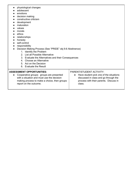| physiological changes<br>adolescent<br>emotions<br>decision making<br>constructive criticism<br>development<br>maturation<br>values<br>morals<br>ethics<br>relationships<br>honesty<br>self-control<br>$\bullet$<br>responsibility<br>Decision Making Process (See "PRIDE" obj 9.6 Abstinence)<br>1. Identify the Problem<br>2. List all Possible Alternative<br>3. Evaluate the Alternatives and their Consequences<br>4. Choose an Alternative<br>5. Act on the Decision<br>6. Evaluate the Result |                                                                                                                                                                               |
|------------------------------------------------------------------------------------------------------------------------------------------------------------------------------------------------------------------------------------------------------------------------------------------------------------------------------------------------------------------------------------------------------------------------------------------------------------------------------------------------------|-------------------------------------------------------------------------------------------------------------------------------------------------------------------------------|
| <b>ASSESSMENT OPPORTUNITIES:</b><br>Cooperative groups: groups are presented<br>$\bullet$<br>with a situation and must use the decision<br>making process to make a choice, then groups<br>report on the outcome.                                                                                                                                                                                                                                                                                    | PARENT/STUDENT ACTIVITY:<br>Have student pick one of the situations<br>$\bullet$<br>discussed in class and go through the<br>process with their parents. Discuss in<br>class. |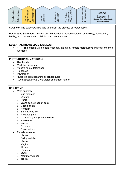

**SOL: 9.9** The student will be able to explain the process of reproduction.

**Descriptive Statement:** Instructional components include anatomy, physiology, conception, fertility, fetal development, childbirth and prenatal care.

#### **ESSENTIAL KNOWLEDGE & SKILLS:**

The student will be able to identify the male / female reproductive anatomy and their functions.

#### **INSTRUCTIONAL MATERIALS:**

- Overheads
- Models / diagrams
- Video's (to be determined)
- Textbooks
- Powerpoint
- Nurses (health department, school nurse)
- Guest speaker (OBGyn; Urologist; student nurse)

- Male anatomy
	- o Vas deferens
	- o Urethra
	- o Penis
	- o Glans penis (head of penis)
	- o Circumcision
	- o Foreskin
	- o Seminal vesicle
	- o Prostate gland
	- o Cowper's gland (Bulbourethra)
	- o Epididymis
	- o Testes
	- o Scrotum
	- o Spermatic cord
- Female anatomy
	- o Hymen
	- o Fallopian tube
	- o Uterus
	- o Vagina
	- o Cervix
	- o Perineum
	- o Ovary
	- o Mammary glands
	- o areola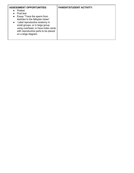| <b>ASSESSMENT OPPORTUNITIES:</b><br>Pretest<br>$\bullet$<br>Post test<br>Essay "Trace the sperm from<br>$\bullet$<br>testicles to the fallopian tubes"<br>Label reproductive anatomy in<br>$\bullet$<br>small groups, or in large group<br>using overhead, or have index cards<br>with reproductive parts to be placed<br>on a large diagram. | <b>PARENT/STUDENT ACTIVITY:</b> |
|-----------------------------------------------------------------------------------------------------------------------------------------------------------------------------------------------------------------------------------------------------------------------------------------------------------------------------------------------|---------------------------------|
|                                                                                                                                                                                                                                                                                                                                               |                                 |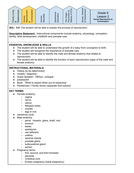

**SOL: 9.9** The student will be able to explain the process of reproduction.

**Descriptive Statement:** Instructional components include anatomy, physiology, conception, fertility, fetal development, childbirth and prenatal care.

#### **ESSENTIAL KNOWLEDGE & SKILLS:**

- The student will be able to understand the growth of a baby from conception to birth.
- The student will recognize the importance of prenatal care.
- The student will be able to identify the male and female anatomy that relates to reproduction.
- The student will be able to identify the function of each reproductive organ of the male and female anatomy.

#### **INSTRUCTIONAL MATERIALS:**

- Videos (to be determined)
- models / diagrams
- Guest Speaker: OBGyn, urologist
- powerpoint
- Book: "What to expect when you're expecting"
- Pediatrician / Family doctor (separate from parent)

- Female anatomy:
	- vagina
	- cervix
	- uterus
	- fallopian tubes
	- ovaries
	- egg or ova
	- menstrual cycle
- Male anatomy
	- penis: foreskin, glans, shaft, root
	- scrotum
	- testes
	- epididymis
	- vas deferens
	- urethra
	- seminal vesicle
	- prostate gland
	- bulbourethral gland
	- semen
	- Pregnancy terms
		- first, second, and third trimester
		- placenta
		- Umbilical cord
		- Ectopic pregnancy (tubal pregnancy)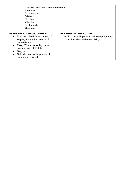| Cesarean section vs. Natural delivery<br>$\circ$<br>Afterbirth<br>$\bigcirc$<br>Contractions<br>$\bigcirc$<br><b>Dilation</b><br>$\bigcirc$<br><b>Nutrition</b><br>$\circ$<br><b>Vitamins</b><br>$\bigcirc$<br>Doctor visits<br>$\circ$<br>40 weeks<br>$\circ$                                                  |                                                                                                                              |
|-----------------------------------------------------------------------------------------------------------------------------------------------------------------------------------------------------------------------------------------------------------------------------------------------------------------|------------------------------------------------------------------------------------------------------------------------------|
| <b>ASSESSMENT OPPORTUNITIES:</b><br>Essay on "Fetal Development, it's<br>$\bullet$<br>stages, and the importance of<br>prenatal care<br>Essay "Trace the embryo from<br>$\bullet$<br>conception to childbirth"<br>Diagrams<br>$\bullet$<br>Calendar tracing the phases of<br>$\bullet$<br>pregnancy; childbirth | <b>PARENT/STUDENT ACTIVITY:</b><br>Discuss with parents their own pregnancy<br>$\bullet$<br>with student and other siblings. |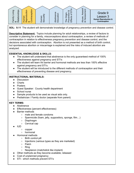

**SOL: 9.11** The student will demonstrate knowledge of pregnancy prevention and disease control.

**Descriptive Statement:** Topics include planning for adult relationships, a review of factors to consider in planning for a family, misconceptions about contraception, a review of methods of contraception in relation to effectiveness pregnancy prevention and disease control, and the decisions associated with contraception. Abortion is not presented as a method of birth control, but spontaneous abortion or miscarriage is explained and the risks of induced abortion are analyzed.

#### **ESSENTIAL KNOWLEDGE & SKILLS:**

- The student will understand that abstinence is the only guaranteed method of 100% effectiveness against pregnancy and STI's
- The student will learn tht barrier and hormonal methods are less than 100% effective against pregnancy and STI's.
- The student will be introduced to the different methods of contraception and their effectiveness of preventing disease and pregnancy.

#### **INSTRUCTIONAL MATERIALS:**

- Discussion
- Charts
- Posters
- Guest Speaker: County health department
- School nurse
- Sample products to be used as visual aids only.
- Pediatrician / Family doctor (separate from parent)

- Abstinence
- Effectiveness (percent effectiveness)
- **Barrier methods** 
	- male and female condoms
		- Spermicide (foam, jelly, suppository, sponge, film...)
		- Diaphragm
		- Cervical cap
- IUD
	- copper
	- hormonal
- Hormonal methods
	- Birth control pill
	- Injections (various types as they are marketed)
	- Patch
	- Ring
	- Nexplanon (matchstick like implant)
- Other methods as they become available; released
- Cost of unplanned pregnancy
- STI which methods prevent STI's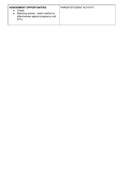| <b>ASSESSMENT OPPORTUNITIES:</b><br>Charts<br>Matching activity: match method to<br>effectiveness against pregnancy and<br>STI's | <b>PARENT/STUDENT ACTIVITY:</b> |
|----------------------------------------------------------------------------------------------------------------------------------|---------------------------------|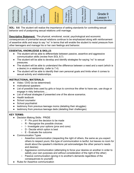

**SOL: 9.6** The student will realize the importance of setting standards for controlling sexual behavior and of postponing sexual relations until marriage.

**Descriptive Statement:** The physical, emotional, social, psychological and economic consequences of premarital sexual relations continue to be emphasized along with reinforcement of assertive skills and ways to say "no" in terms that will enable the student to resist pressure from other teenagers and manage his or her own feelings and behavior.

#### **ESSENTIAL KNOWLEDGE & SKILLS:**

- The student will be able to differentiate between passive, assertive and aggressive communication skills (review from SOL 8.7)
- The student will be able to develop and identify strategies for saying "no" to sexual pressures.
- The student will be able to understand the difference between a need and a want (which is a desire) in a relationship. (refer to 7.4)
- The student will be able to identify their own personal goals and limits when it comes to sexual activity and relationships.

#### **INSTRUCTIONAL MATERIALS:**

- Video / DVD (to be determined)
- motivational speakers
- List of possible lines used by girls or boys to convince the other to have sex, use drugs or engage in risky behaviors….
- List of refusal strategies if presented one of the above scenarios.
- Health textbook
- School counselor
- School psychiatrist
- testimony from previous teenage moms (detailing their struggles)
- testimony from previous teenage dads (detailing their challenges)

- Decision Making Skills: PRIDE
	- P Pin point the decision to be made
	- R Recognize the possible choices
	- I Investigate your options (pros and cons)
	- D Decide which option is best
	- E Evaluate the outcome
- Communication Types
	- Assertive communication (respecting the right of others, the same as you expect others to respect yours; this type of communication is tactful, but leaves no room for doubt about the speaker's intentions yet acknowledges the other person's needs and desires)
	- Aggressive communication (attempting to force your desires on another in order to satisfy your own purposes and without consideration of the right of the other)
	- Passive communication (giving in to another's demands regardless of the consequences to yourself)
- **Rules for Assertive communication**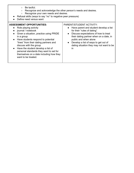- Be tactful.
- Recognize and acknowledge the other person's needs and desires.
- Recognize your own needs and desires.
- Refusal skills (ways to say "no" to negative peer pressure)
- Define need versus want

| <b>ASSESSMENT OPPORTUNITIES:</b><br>Role playing activity<br>$\bullet$<br>journal / notebook<br>$\bullet$<br>Given a situation, practice using PRIDE<br>$\bullet$<br>in a group<br>• Have students respond to potential<br>"lines" from their dating partners and<br>discuss with the group<br>• Have the student develop a list of<br>personal standards they want to set for<br>themselves on a date including how they<br>want to be treated. | PARENT/STUDENT ACTIVITY:<br>Have parent and student develop a list<br>$\bullet$<br>for their "rules of dating"<br>Discuss expectations of how to treat<br>$\bullet$<br>their dating partner when on a date, in<br>public and when alone<br>Develop a list of ways to get out of<br>$\bullet$<br>dating situation they may not want to be<br>in |
|--------------------------------------------------------------------------------------------------------------------------------------------------------------------------------------------------------------------------------------------------------------------------------------------------------------------------------------------------------------------------------------------------------------------------------------------------|------------------------------------------------------------------------------------------------------------------------------------------------------------------------------------------------------------------------------------------------------------------------------------------------------------------------------------------------|
|--------------------------------------------------------------------------------------------------------------------------------------------------------------------------------------------------------------------------------------------------------------------------------------------------------------------------------------------------------------------------------------------------------------------------------------------------|------------------------------------------------------------------------------------------------------------------------------------------------------------------------------------------------------------------------------------------------------------------------------------------------------------------------------------------------|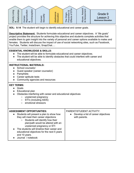

**SOL: 9.14** The student will begin to identify educational and career goals.

**Descriptive Statement:** Students formulate educational and career objectives. A "life goals" project provides the structure for achieving this objective and students complete activities that enable them to gain insight into the variety of personal and career options available to males and females. Students will discuss the impact of use of social networking sites, such as Facebook, YouTube, Twitter, InstaGram, SnapChat….

#### **ESSENTIAL KNOWLEDGE & SKILLS:**

- The student will be able to formulate educational and career objectives.
- The student will be able to identify obstacles that could interfere with career and educational objectives.

#### **INSTRUCTIONAL MATERIALS:**

- School counselor
- Guest speaker (career counselor)
- Pamphlets
- Career aptitude tests
- Community agencies and resources

- Goals
- Educational plan
- Obstacles interfering with career and educational objectives
	- unplanned pregnancy
	- STI's (including AIDS)
	- emotional stressors

| <b>ASSESSMENT OPPORTUNITIES:</b><br>Students will present a plan to show how<br>$\bullet$<br>they will meet their career objections<br>Students will identify how their<br>$\circ$<br>plan/path would be altered with an<br>unplanned pregnancy or STI<br>The students will timeline their career and<br>$\bullet$<br>educational objectives for the next 5 years<br>and 10 years.<br>Journal / notebook | PARENT/STUDENT ACTIVITY:<br>Develop a list of career objectives<br>$\bullet$<br>with parents. |
|----------------------------------------------------------------------------------------------------------------------------------------------------------------------------------------------------------------------------------------------------------------------------------------------------------------------------------------------------------------------------------------------------------|-----------------------------------------------------------------------------------------------|
|----------------------------------------------------------------------------------------------------------------------------------------------------------------------------------------------------------------------------------------------------------------------------------------------------------------------------------------------------------------------------------------------------------|-----------------------------------------------------------------------------------------------|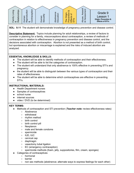

**SOL: 9.11** The student will demonstrate knowledge of pregnancy prevention and disease control.

**Descriptive Statement:** Topics include planning for adult relationships, a review of factors to consider in planning for a family, misconceptions about contraception, a review of methods of contraception in relation to effectiveness in pregnancy prevention and disease control, and the decisions associated with contraception. Abortion is not presented as a method of birth control, but spontaneous abortion or miscarriage is explained and the risks of induced abortion are analyzed.

#### **ESSENTIAL KNOWLEDGE & SKILLS:**

- The student will be able to identify methods of contraception and their effectiveness.
- The student will be able to list the categories of contraception.
- The student will understand that only abstinence is 100% effective in preventing STI's and pregnancy.
- the student will be able to distinguish between the various types of contraception and their rates of effectiveness.
- The student will be able to determine which contraceptives are effective in preventing STI's.

#### **INSTRUCTIONAL MATERIALS:**

- Health Department nurses
- Samples of contraceptives
- school nurse
- internet sources
- video / DVD (to be determined)

- Methods of contraception and STI prevention (*Teacher note:* review effectiveness rates)
	- Abstinence
	- withdrawal
	- rhythm method
	- birth control
	- birth control pill
	- Nexplanon
	- male and female condoms
	- spermicide
	- IUD, IUC
	- cervical cap
	- diaphragm
	- vasectomy tubal ligation
	- EC (emergency contraception)
	- spermicide methods (foam, jelly, suppositories, film, cream, sponges)
- Categories of contraceptives
	- hormonal
	- barrier
	- non sex methods (abstinence; alternate ways to express feelings for each other)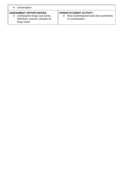● contraception

#### **ASSESSMENT OPPORTUNITIES:**

● contraceptive bingo (use words, definitions, pictures, samples as bingo clues)

#### **PARENT/STUDENT ACTIVITY:**

● Have student/parent share fact worksheets on contraception.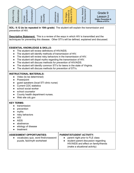

**SOL: 9.12 (to be repeated in 10th grade)** The student will explain the transmission and prevention of HIV.

**Descriptive Statement:** This is a review of the ways in which HIV is transmitted and the techniques for preventing this disease. Other STI's will be defined, explained and discussed.

#### **ESSENTIAL KNOWLEDGE & SKILLS:**

- The student will review definitions of HIV/AIDS.
- The student will identify methods of transmission of HIV.
- The student will review risky behaviors in the transmission of HIV.
- The student will dispel myths regarding the transmission of HIV.
- The student will discuss methods for prevention of HIV/AIDS.
- The student will identify common STI's for teens in the state of Virginia.
- The student will discuss methods for prevention of STI's.

#### **INSTRUCTIONAL MATERIALS:**

- Video (to be determined)
- Powerpoint
- guest speakers (local STI clinic nurse)
- Current CDC statistics
- school social worker
- school counselor
- County health department nurses.
- Web site cdc.gov

#### **KEY TERMS:**

- transmission
- prevention
- myths
- risky behaviors
- HIV
- AIDS
- abstinence
- etiology of disease
- treatment

#### **ASSESSMENT OPPORTUNITIES:**

● vocabulary quiz, word find/crossword puzzle, fact/myth worksheet

#### **PARENT/STUDENT ACTIVITY:**

- parent night prior to FLE class
- student parent discussion regarding HIV/AIDS and effect on family/friends (make a situational activity)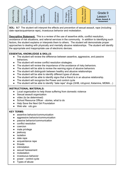

**SOL: 9.7** The student will interpret the effects and prevention of sexual assault, rape (including date rape/acquaintance rape), incestuous behavior and molestation.

**Descrpitive Statement:** This is a review of the use of assertive skills, conflict resolution, avoidance of risk situations, and referral services in the community. In addition to identifying such factors, the student explains or interprets them to others. The student will demonstrate proper approaches to dealing with physically and mentally abusive relationships. The student will identify the appropriate and inappropriate use of electronic devices.

#### **ESSENTIAL KNOWLEDGE & SKILLS:**

- The student will review the difference between assertive, aggressive, and passive behaviors.
- The student will review conflict resolution strategies.
- The student will review the importance of the avoidance of risky behaviors.
- The student will be able to review the warning signs of abusive behaviors
- The student will distinguish between healthy and abusive relationships
- The student will be able to identify different types of abuse.
- The student will be able to identify signs that a friend is in an abusive relationship.
- The student will recognize the Power and control cycle
- The student will be able to identify "date rape" drugs (GHB, rohypnol, Ketamine, MDMA…)

#### **INSTRUCTIONAL MATERIALS:**

- Local organization to help those suffering from domestic violence
- Sexual assault organization
- video (to be determined)
- School Resource Officer stories, what to do
- Help Save the Next Girl Foundation
- Web site: cdc.gov

- assertive behavior/communication
- aggressive behavior/communication
- passive behavior/communication
- conflict resolution
- coercion
- male privilege
- jealousy
- isolation
- date rape
- acquaintance rape
- threats
- intimidation
- sexual harassment
- molestation
- incestuous behavior
- power control cycle
- Types of abuse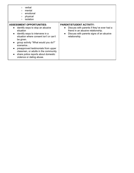| verbal<br>$\bigcirc$<br>mental<br>$\bigcirc$<br>emotional<br>$\bigcirc$<br>physical<br>$\circ$<br>isolation<br>$\circ$                                                                                                                                                                                                                                                                                                                 |                                                                                                                                                                                                            |
|----------------------------------------------------------------------------------------------------------------------------------------------------------------------------------------------------------------------------------------------------------------------------------------------------------------------------------------------------------------------------------------------------------------------------------------|------------------------------------------------------------------------------------------------------------------------------------------------------------------------------------------------------------|
| <b>ASSESSMENT OPPORTUNITIES:</b><br>identify ways to stop an abusive<br>situation<br>identify ways to intervene in a<br>$\bullet$<br>situation where consent isn't or can't<br>be given.<br>group activity "What would you do?"<br>$\bullet$<br>scenarios<br>preapproved testimonials from upper<br>$\bullet$<br>classmen, or adults in the community<br>share police reports about domestic<br>$\bullet$<br>violence or dating abuse. | <b>PARENT/STUDENT ACTIVITY:</b><br>Discuss with parents if they've ever had a<br>$\bullet$<br>friend in an abusive relationship.<br>Discuss with parents signs of an abusive<br>$\bullet$<br>relationship. |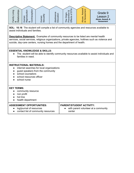

**SOL: 10.16** The student will compile a list of community agencies and resources available to assist individuals and families.

**Descriptive Statement:** Examples of community resources to be listed are mental health services, social services, religious organizations, private agencies, hotlines such as violence and suicide, day-care centers, nursing homes and the department of health.

#### **ESSENTIAL KNOWLEDGE & SKILLS:**

● The student will be able to identify community resources available to assist individuals and families in need.

#### **INSTRUCTIONAL MATERIALS:**

- internet searches for local organizations
- guest speakers from the community
- school counselors
- school resources officer
- school nurse

#### **KEY TERMS:**

- community resource
- non profit
- hot line
- health department

#### **ASSESSMENT OPPORTUNITIES:**

- log/journal of resources
- contact list of community resources

#### **PARENT/STUDENT ACTIVITY:**

• with parent volunteer at a community center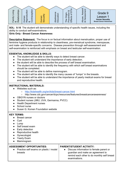

**SOL: 9.10** The student will demonstrate understanding of specific health issues, including the ability to conduct self-examinations.

#### **Girls Only - Breast Cancer Awareness**

**Descriptive Statement:** The focus is on factual information about menstruation, proper use of feminine hygiene products in relationship to cleanliness, pre-menstrual syndrome, menopause, and male- and female-specific concerns. Disease prevention through self-assessment and self-examination is reinforced with emphasis on breast and testicular self-examination.

#### **ESSENTIAL KNOWLEDGE & SKILLS:**

- The student will be able to identify ways to detect breast cancer.
- The student will understand the importance of early detection.
- the student will be able to describe the process of self breast examination.
- The student will be able to identify the frequency with which self breast examinations should be completed.
- The student will be able to define mammogram.
- The student will be able to identify the many causes of "lumps" in the breasts.
- The student will be able to understand the importance of yearly medical exams for breast and reproductive health.

#### **INSTRUCTIONAL MATERIALS:**

- Websites such as:
	- <http://kidshealth.org/en/kids/breast-cancer.html>
	- http://www.cdc.gov/cancer/dcpc/resources/features/breastcancerawareness/
- OBGYN nurses or doctors
- Student nurses (JMU, UVA, Germanna, PVCC)
- Health Department nurses
- School nurse
- Susan G. Komen Foundation website

#### **KEY TERMS:**

- Breast cancer
- Cyst
- Lump
- Self breast exam
- Early detection
- Reproductive health
- Gynecologist
- Yearly Exam
- Mammogram

#### **ASSESSMENT OPPORTUNITIES:**

● Practice self exams on plastic / model breasts

#### **PARENT/STUDENT ACTIVITY:**

● Discuss information to female parent or guardian and make an agreement to remind each other to do monthly self breast examinations.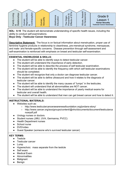

**SOL: 9.10** The student will demonstrate understanding of specific health issues, including the ability to conduct self-examinations.

#### **Boys Only - Testicular Cancer Awareness**

**Descriptive Statement:** The focus is on factual information about menstruation, proper use of feminine hygiene products in relationship to cleanliness, pre-menstrual syndrome, menopause, and male- and female-specific concerns. Disease prevention through self-assessment and self-examination is reinforced with emphasis on breast and testicular self-examination.

#### **ESSENTIAL KNOWLEDGE & SKILLS:**

- The student will be able to identify ways to detect testicular cancer.
- The student will understand the importance of early detection.
- The student will be able to describe the process of self testicular examination.
- The student will be able to identify the frequency with which self testicular examinations should be completed.
- The student will recognize that only a doctor can diagnose testicular cancer.
- The student will be able to define ultrasound and how it relates to the diagnosis of testicular cancer.
- The student will be able to identify the many causes of "lumps" in the testicules.
- The student will understand that all abnormalities are NOT cancer.
- The student will be able to understand the importance of yearly medical exams for testicular and overall health.
- The student will be able to understand that men can get breast cancer and how to detect it.

### **INSTRUCTIONAL MATERIALS:**

- Websites such as:
	- http://www.testicularcancerawarenessfoundation.org/jordans-story/
	- http://www.cancer.org/acs/groups/content/@nho/documents/document/testicularca ncerpdf.pdf
- Urology nurses or doctors
- Student nurses (JMU, UVA, Germanna, PVCC)
- Health Department nurses
- School nurse
- DVD/video
- Guest Speaker (someone who's survived testicular cancer)

- Testicle
- Testicular cancer
- Lump
- Hyperechoic: mass separate from the testicle
- Self exam
- Medical Exam
- Abnormalities
- Malignant
- Benign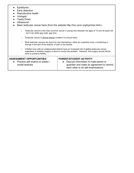- Epididymis
- Early detection
- Reproductive health
- Urologist
- Yearly Exam
- Ultrasound
- Basic testicular cancer facts (from the website http://tcrc.acor.org/tcprimer.html)
	- Testicular cancer is the most common cancer in young men between the ages of 15 and 35 years old - but it can strike any male, any time.
	- Testicular cancer is almost always curable if it is found early.
	- Most testicular cancers are found by men themselves, either as a painless lump, a hardening or change in the size of the testicle, or pain in the testicle.
	- Children born with an undescended testicle have an increased risk of getting testicular cancer regardless of whether surgery is done to correct the problem. However, the surgery should still be done to preserve fertility.

#### **ASSESSMENT OPPORTUNITIES:**

● Practice self exams on plastic / model testicles

#### **PARENT/STUDENT ACTIVITY:**

● Discuss information to male parent or guardian and make an agreement to remind each other to do self examinations.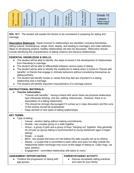

**SOL 10.7:** The student will explain the factors to be considered in preparing for dating and marriage.

**Descriptive Statement:** Septs involved in relationships are identified, including friendships; dating (casual, double/group, single, blind, steady, and leading to marriage); and mate selection. Steps to developing positive, healthy relationships will also be discussed. INstruction should include identifying the characteristics of dating violence and abusive relationships.

#### **ESSENTIAL KNOWLEDGE & SKILLS:**

- The student will be able to identify the steps involved in the development of relationships from friendship to marriage.
- The student will be able to differentiate between various types of dating.
- The student will be able to identify the roadblocks to dating when it comes to "friends with benefits" or friends that engage in intimate behaviors without considering themselves as dating partners.
- The student will identify morals or values that they feel are important in a dating relationship and a marriage.
- The student will identify important characteristics of a marriage partner.

#### **INSTRUCTIONAL MATERIALS:**

#### *● Teacher Information:*

- $\circ$  "Friends with benefits": having a friend with whom there are physical relationship type intimacies (kissing, oral sex, petting, intercourse). However, there is no expectation of a dating relationship.
- $\circ$  This should be strongly discouraged if it comes up in class discussion and the cons of this activity should be emphasized.
- Keep advised of new types of dating relationships.

#### **KEY TERMS:**

- Type of dating:
	- Casual random dating without making commitments
	- Double two couples going on a date together
	- Group a group of girls and a group of boys "hanging out" together, they generally do not pair up (group dating is recommended at young adolescent ages to begin dating)
	- Single a couple
	- $\circ$  Blind two people that have not met before the date (usually set up by others).
	- Steady a couple that is committed to each other and does not date outside the relationship (token exchange may occur at this stage of dating ex. Class rings, car keys, jewelry)
	- Engagement committed relationship with plans to marry

#### **ASSESSMENT OPPORTUNITIES:**

#### Timeline the progression of dating with age groups.

#### **PARENT/STUDENT ACTIVITY:**

● Discuss acceptable dating practices and rules for your family.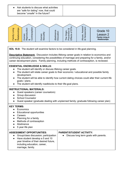● Ask students to discuss what activities are "safe for dating" now, that could become "unsafe" in the future?

|                                                |                         |                             |                               | <b>SD</b>             |                                                                  |                                                                            |
|------------------------------------------------|-------------------------|-----------------------------|-------------------------------|-----------------------|------------------------------------------------------------------|----------------------------------------------------------------------------|
| sqir<br>င္ဘာ<br>ğ<br>elation<br>$\alpha$<br>οX | ത<br>œ<br>$\circ$<br>οŏ | ā<br>ᡕᢐ<br>ದ<br>≒<br>◠<br>Φ | $\frac{1}{5}$<br>$\mathbf{H}$ | œ<br>Φ<br>Œ<br>Φ<br>ш | ᅙ<br>$\bar{\mathfrak{a}}$<br>SS<br>U.<br>ise<br>ω<br>$rac{1}{6}$ | Grade 10<br>Lesson 2<br><b>Family Living &amp;</b><br><b>Relationships</b> |

| SOL 10.8: The student will examine factors to be considered in life-goal planning. |  |
|------------------------------------------------------------------------------------|--|
|------------------------------------------------------------------------------------|--|

**Descriptive Statement:** Discussion includes lifelong career goals in relation to economics and continuing education, considering the possibilities of marriage and preparing for a family, and/or career development plans. Family planning, including methods of contraception, is reviewed.

#### **ESSENTIAL KNOWLEDGE & SKILLS:**

- The student will identify or discuss lifelong career goals.
- The student will relate career goals to their economic / educational and possible family development.
- The student will be able to identify how current dating choices could alter their current life goals / plans.
- The student will identify roadblocks to their life-goal plans.

#### **INSTRUCTIONAL MATERIALS:**

- Guest speakers (career counselors)
- Group discussion
- School Counselor
- Guest speaker (graduate dealing with unplanned family; graduate following career plan)

#### **KEY TERMS:**

- Economics
- Educational opportunities
- Careers
- Planning for a family
- Methods of contraception

**ASSESSMENT OPPORTUNITIES:**

- Abstinence
- 5 year life plan

#### **PARENT/STUDENT ACTIVITY:**

- Discuss long term goals with parents.
- Have student develop a 5 and 10 year timeline of their desired future, including education, career, marriage, family.

● Group/class discussion; participation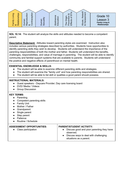

**SOL 10.14:** The student will analyze the skills and attitudes needed to become a competent parent.

**Descriptive Statement:** Attitudes toward parenting styles are examined. Instruction also includes various parenting strategies described by authorities. Students have opportunities to identify parenting skills they wish to develop. Students will understand the importance of the parenting responsibilities of both the mother and father. Students will understand the benefits, challenges, responsibilities, and value of marriage in parenting. The student will be able to identify community and familial support systems that are available to parents. Students will understand the positive and negative effects of parenthood on mental health.

#### **ESSENTIAL KNOWLEDGE & SKILLS:**

- The student will be able to examine different parenting skills and strategies.
- The student will examine the "family unit" and how parenting responsibilities are shared.
- The student will be able to list skill or qualities a good parent should possess.

#### **INSTRUCTIONAL MATERIALS:**

- Guest speakers Daycare Provider; Day care licensing board
- DVD/ Media / Videos
- Group Discussion

#### **KEY TERMS**:

- Parenting
- Competent parenting skills
- Family Unit
- Mother / Father
- Grandparent
- Single parent
- Step parent
- Patience
- Routine / Schedule

#### **ASSESSMENT OPPORTUNITIES:**

● Class participation

#### **PARENT/STUDENT ACTIVITY:**

- Discuss good and poor parenting they have observed.
- Discuss ways to deal with challenging situations as a parent.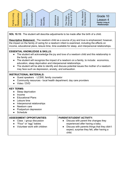

**SOL 10.15:** The student will describe adjustments to be made after the birth of a child.

**Descriptive Statement:** The newborn child as a source of joy and love is emphasized; however, the impact on the family of caring for a newborn infant is examined, including the effects on income, educational plans, leisure time, time available for sleep, and interpersonal relationships.

#### **ESSENTIAL KNOWLEDGE & SKILLS:**

- The student will acknowledge the joy and love of a newborn child and this relationship in the family unit.
- The student will recognize the impact of a newborn on a family, to include: economics, education, sleep deprivation and interpersonal relationships.
- The student will be able to identify and discuss potential issues the mother of a newborn may face such as depression, anxiety, and exhaustion.

#### **INSTRUCTIONAL MATERIALS:**

- Guest speakers LCSW, family counselor
- Community resources local health department; day care providers
- Video / DVD

#### **KEY TERMS:**

- Sleep deprivation
- Income
- Educational Plans
- Leisure time
- Interpersonal relationships
- Newborn care
- Postpartum depression
- Schedule

#### **ASSESSMENT OPPORTUNITIES:**

- Class / group discussion
- "Flour" or "egg" babies
- Volunteer work with children

#### **PARENT/STUDENT ACTIVITY:**

- Discuss with parent the changes they experienced after having a baby.
- Discuss with parents things that they didn't expect, surprise they felt, after having a child.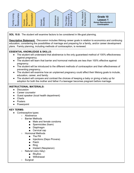

**SOL 10.8:** The student will examine factors to be considered in life-goal planning.

**Descriptive Statement:** Discussion includes lifelong career goals in relation to economics and continuing education, considering the possibilities of marriage and preparing for a family, and/or career development plans. Famiiy planning, including methods of contraception, is reviewed.

#### **ESSENTIAL KNOWLEDGE & SKILLS:**

- The student will understand that abstinence is the only quaranteed method of 100% effectiveness against pregnancy.
- The student will learn that barrier and hormonal methods are less than 100% effective against pregnancy.
- The student will be introduced to the different methods of contraception and their effectiveness of preventing pregnancy..
- The student will examine how an unplanned pregnancy could affect their lifelong goals to include, education, career, and family.
- The student will compare and contrast the choices of keeping a baby or giving a baby up for adoption for both the mother and father if a teenager becomes pregnant before marriage.

#### **INSTRUCTIONAL MATERIALS:**

- Discussion
- Career counselor
- Guest speaker (local health department)
- Charts
- **Posters**
- Powerpoint

- Contraceptive types:
	- Abstinence
	- Barrier Methods
		- Male and female condoms
		- Spermicides (foam)
		- Diaphragm
		- Cervical cap
	- Hormonal Methods
		- The Pill
		- Injections (Depo Provera)
		- Patch
		- Ring
		- Implant (Nexplanon)
	- Natural (very risky)
		- Rhythm
		- **Withdrawal**
	- Surgical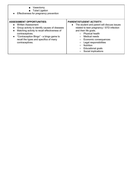- Vasectomy
- Tubal Ligation
- Effectiveness for pregnancy prevention

#### **ASSESSMENT OPPORTUNITIES:**

- Written Assessment
- Group activity to identify causes of diseases
- Matching activity to recall effectiveness of contraceptives.
- "Contraception Bingo" a bingo game to recall the types and specifics of many contraceptives.

#### **PARENT/STUDENT ACTIVITY:**

- The student and parent will discuss issues related to teen pregnancy / STD infection and their life goals.
	- Physical health
	- Medical needs
	- Economic consequences
	- Legal responsibilities
	- Nutrition
	- Educational goals
	- Social implications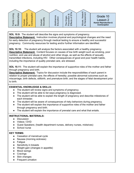

**SOL 10.9:** The student will describe the signs and symptoms of pregnancy. **Descriptive Statement:** Instruction involves physical and psychological changes and the need for early detection of pregnancy through medical testing to ensure a healthy and successful pregnancy. Community resources for testing and/or further information are identified.

**SOL 10.10:** The student will analyze the factors associated with a healthy pregnancy. **Descriptive Statement:** Content focuses on causes of low birth weight such as smoking, poor nutrition, and use and abuse of alcohol and other drugs, as well as the effects of sexually transmitted infections, including HIV. Other consequences of good and poor health habits, including the importance of quality prenatal care, are stressed.

**SOL 10.11:** The student will explain the importance of supportive roles of the mother and father through pregnancy and birth.

**Descriptive Statement:** Topics for discussion include the responsibilities of each parent in relation to proper prenatal care; the effects of heredity; possible abnormal outcomes such as miscarriage, birth defects, stillbirth, and premature birth; and the stages of fetal development prior to birth.

#### **ESSENTIAL KNOWLEDGE & SKILLS:**

- The student will review signs and symptoms of pregnancy.
- The student will be able to list ways pregnancy is diagnosed.
- The student will be able to explain the length of pregnancy and describe milestones of each trimester.
- The student will be aware of consequences of risky behaviors during pregnancy.
- The student will explain the importance of supportive roles of the mother and father through pregnancy and birth.
- The student will explain the importance of prenatal care and what that entails.

#### **INSTRUCTIONAL MATERIALS:**

- Discussion
- Videos / DVD
- Guest Speakers; (health department nurses, delivery nurses, midwives)
- School nurse

- Cessation of menstrual cycle
- Nausea (morning sickness)
- Fatigue
- Sensitivity in breasts
- Weight gain (changes in appetite)
- Mood swings
- Cravings
- Skin changes
- Frequent urination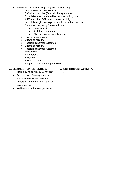- Issues with a healthy pregnancy and healthy baby
	- Low birth weight due to smoking
	- FAS due to alcohol (Fetal alcohol syndrome)
	- Birth defects and addicted babies due to drug use
	- AIDS and other STI's due to sexual activity
	- Low birth weight due to poor nutrition as a teen mother
	- Abnormal Pregnancy / Maternal Issues
		- Pre-eclampsia
		- Gestational diabetes
		- Other pregnancy complications
	- Proper prenatal care
	- Effects of heredity
	- Possible abnormal outcomes
	- Effects of heredity
	- Possible abnormal outcomes
	- Miscarriage
	- Birth defects
	- Stillbirths
	- Premature birth
	- Stages of development prior to birth

| <b>ASSESSMENT OPPORTUNITIES:</b><br>Role playing on "Risky Behaviors"<br>$\bullet$<br>Discussion: "Consequences of<br>$\bullet$<br>Risky Behaviors and why it is<br>important for mother and father to<br>be supportive"<br>Written test on knowledge learned<br>$\bullet$ | <b>PARENT/STUDENT ACTIVITY:</b><br>$\bullet$ |
|----------------------------------------------------------------------------------------------------------------------------------------------------------------------------------------------------------------------------------------------------------------------------|----------------------------------------------|
|                                                                                                                                                                                                                                                                            |                                              |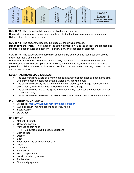

**SOL 10.12:** The student will describe available birthing options. **Descriptive Statement:** Prepared materials on childbirth education are primary resources. Birthing alternatives are examined

**SOL 10.13:** The student will identify the stages of the birthing process.

**Descriptive Statement:** The stages of the birthing process include the onset of the process and the three stages of labor and delivery -- dilation, birth, and expulsion of placenta.

**SOL 10.16:** The student will compile a list of community agencies and resources available to assist individuals and families.

**Descriptive Statement:** Examples of community resources to be listed are mental health services, social services, religious organizations, private agencies, hotlines such as violence prevention, child abuse, sexual violence and suicide, day-care centers, nursing homes, and the department of health.

#### **ESSENTIAL KNOWLEDGE & SKILLS:**

- The student will be aware of birthing options: natural childbirth, hospital birth, home birth, use of medication, caesarean section, water birth, midwife, doula
- The student will identify the stages of the birthing process; First Stage (early labor and active labor), Second Stage (aka. Pushing stage), Third Stage
- The student will be able to recognize which community resources are important to a new mother and baby.
- The student will be make a list of several resources in and around his or her community.

#### **INSTRUCTIONAL MATERIALS:**

- Websites: <http://www.babycenter.com/stages-of-labor>
- Guest speaker: midwife, labor and delivery nurse
- Social worker
- DVD/video

- Natural Childbirth
- Cesarean section
- Methods of pain relief
	- Epidurals, spinal blocks, medications
- Birthing tubs
- Dilation
- Birth
- Expulsion of the placenta; after birth
- Labor
- Contraction
- Fetal position
- Health department
- Local / private physicians
- Pediatrician
- Community agencies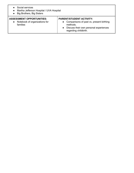- Social services
- Martha Jefferson Hospital / UVA Hospital
- Big Brothers, Big Sisters

#### **ASSESSMENT OPPORTUNITIES:**

● Notebook of organizations for families

#### **PARENT/STUDENT ACTIVITY:**

- Comparisons of past vs. present birthing methods.
- Discuss their own personal experiences regarding childbirth.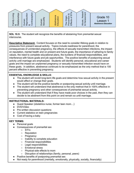

**SOL 10.5:** The student will recognize the benefits of abstaining from premarital sexual intercourse.

**Descriptive Statement:** Content focuses on the need to consider lifelong goals in relation to pressures from present sexual activity. Topics include readiness for parenthood, the consequences of unintended pregnancy, the effects of sexually transmitted infections, the impact on reputation, mental health and on present and future goals, the importance of adhering to family values, the need to complete educational plans, the burdens of financial responsibilities, and interference with future goals and job opportunities. The positive benefits of postponing sexual activity until marriage are emphasized. Students will identify personal, educational and career goals and the impact an unplanned pregnancy or sexually transmitted infection would have on these goals. In addition, abstinence continues to be emphasized as the only method that is 100 percent effective in preventing pregnancy.

#### **ESSENTIAL KNOWLEDGE & SKILLS:**

- The student will revisit long-term life goals and determine how sexual activity in the present would affect or change their goals.
- The student will list the positive benefits or postponing sexual activity until marriage.
- The student will understand that abstinence is the only method that in 100% effective in preventing pregnancy and other consequences of premarital sexual activity.
- The student will understand that if they have made poor choices in the past, then they can decide to be abstinent from this point on and remain so until marriage.

#### **INSTRUCTIONAL MATERIALS:**

- Guest Speaker (obstetrics nurse, former teen mom…)
- DVD/Video
- Pre written discussion questions
- Current statistics on teen pregnancies
- Cost of having a baby

- Personal goals
- Consequences of premarital sex
	- STI's
	- Reputation
	- Pregnancy
	- Inability to complete education
	- Financial responsibilities
	- Legal responsibilities
	- Emotional stress
	- Physical side effects to mom
	- Disruption of relationships (family, personal, peers)
- Positive benefits of postponing premarital sex
- Not ready for parenthood (mentally, emotionally, physically, socially, financially)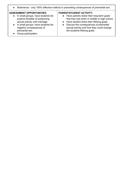● Abstinence - only 100% effective method in preventing consequences of premarital sex.

#### **ASSESSMENT OPPORTUNITIES:**

- In small groups, have students list positive benefits of postponing sexual activity until marriage.
- In small groups, have students list negative consequences of premarital sex.
- Group participation

#### **PARENT/STUDENT ACTIVITY:**

- Have parents share their long-term goals that they had when in middle or high school.
- Have student share their lifelong goals.
- Discuss the consequences of premarital sexual activity and how they could change the students lifelong goals.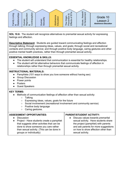

**SOL 10.6:** The student will recognize alternatives to premarital sexual activity for expressing feelings and affection.

**Descriptive Statement:** Students are guided toward communicating feelings and affection through talking; through expressing ideas, values, and goals; through social and recreational contacts and community service; and through positive body language, caring gestures and other positive mental health practices, rather than through premarital sexual activity.

#### **ESSENTIAL KNOWLEDGE & SKILLS:**

- The student will understand that communication is essential for healthy relationships.
- The student will list alternative behaviors that communicate feelings of affection in relationships rather than through premarital sexual activity.

#### **INSTRUCTIONAL MATERIALS:**

- Pamphlets (101 ways to show you love someone without having sex)
- Group Discussion
- Power points
- Posters
- Guest Speakers

- Methods of communication feelings of affection other than sexual activity:
	- Talking
	- Expressing ideas, values, goals for the future
	- Social involvement (recreational involvement and community service)
	- Positive body language
	- Caring gestures.

| <b>ASSESSMENT OPPORTUNITIES:</b>            | <b>PARENT/STUDENT ACTIVITY:</b>      |
|---------------------------------------------|--------------------------------------|
| <b>Discussion</b>                           | • Discuss values towards premarital  |
| • Project - Have students create a pamphlet | sexual activity. Have students share |
| that suggests other activities that can be  | the project (pamphlet) with parents  |
| done to show someone you care rather        | and ask parents for more suggestions |
| than sexual activity. (This can be done in  | on how to show affection other than  |
| groups or individually)                     | sexual activity.                     |
|                                             |                                      |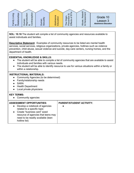

**SOL: 10.16** The student will compile a list of community agencies and resources available to assist individuals and families.

**Descriptive Statement:** Examples of community resources to be listed are mental health services, social services, religious organizations, private agencies, hotlines such as violence prevention, child abuse, sexual violence and suicide, day-care centers, nursing homes, and the department of health.

#### **ESSENTIAL KNOWLEDGE & SKILLS:**

- The student will be able to compile a list of community agencies that are available to assist individuals and families with various needs.
- The student will be able to identify resource to use for various situations within a family or within a relationship.

#### I**NSTRUCTIONAL MATERIALS:**

- Community Agencies (to be determined)
- Family/relationship needs
- SARA
- Health Department
- Local private physicians

#### **KEY TERMS:**

• Community agencies

| • Create "business card" sized<br>resource of agencies that teens may<br>need to be readily available (teen<br>hotline list) | <b>ASSESSMENT OPPORTUNITIES:</b><br>Develop a notebook of agencies<br>$\bullet$<br>related to a specific topic | <b>PARENT/STUDENT ACTIVITY:</b> |
|------------------------------------------------------------------------------------------------------------------------------|----------------------------------------------------------------------------------------------------------------|---------------------------------|
|------------------------------------------------------------------------------------------------------------------------------|----------------------------------------------------------------------------------------------------------------|---------------------------------|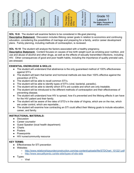

**SOL 10.8:** The student will examine factors to be considered in life-goal planning. **Descriptive Statement:** Discussion includes lifelong career goals in relation to economics and continuing education, considering the possibilities of marriage and preparing for a family, and/or career development plans. Famiiy planning, including methods of contraception, is reviewed.

**SOL 10.10** The student will analyze the factors associated with a healthy pregnancy.

**Descriptive Statement:** Content focuses on causes of low birth weight such as smoking poor nutrition, and use and abuse of alcohol and other drugs, as well as the effects of sexually transmitted infections, including HIV. Other consequences of good and poor health habits, including the importance of quality prenatal care, are stressed.

#### **ESSENTIAL KNOWLEDGE & SKILLS:**

- The student will understand that abstinence is the only quaranteed method of 100% effectiveness against STI's
- The student will learn that barrier and hormonal methods are less than 100% effective against the prevention of STI's.
- The student will be able to recall common STI's.
- The student will be able to identify types of STI's (viral, bacterial, parasitic).
- The student will be able to identify which STI's are curable and which are only treatable.
- The student will be introduced to the different methods of contraception and their effectiveness of preventing disease.
- The student will understand how HIV is spread, how it's prevented and the lifelong effects it can have for the HIV patient and their family.
- The student will be aware of the rates of STD's in the state of Virginia, which are on the rise, which are under control, which are reportable...
- The student will examine how contracting an STI could affect their lifelong goals to include education, career, and family.

#### **INSTRUCTIONAL MATERIALS:**

- Discussion
- Career counselor
- Guest Speaker (local health department)
- Charts
- Posters
- Powerpoints
- HIV nurse/community resource

- Effectiveness for STI prevention
- Websites:
	- [http://www.relationshipsunderconstruction.com/wp-content/uploads/file/STDChart\\_101221.pdf](http://www.relationshipsunderconstruction.com/wp-content/uploads/file/STDChart_101221.pdf)
	- <http://www.sexualityandu.ca/stis-stds/types-of-stis-stds>
- Types:
	- Viral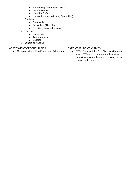| Human Papilloma Virus (HPV)<br><b>Genital Herpes</b><br><b>Hepatitis B Virus</b><br>Human Immunodeficiency Virus (HIV)<br><b>Bacterial</b><br>$\Omega$<br>Chlamydia<br>Gonorrhea (The Clap)<br>$\blacksquare$<br>Syphilis (The great imitator)<br>Parasitic<br>$\bigcirc$<br>■ Pubic Lice<br>Trichomoniasis<br><b>Scabies</b><br>Others as needed<br>$\circ$ |                                                                                                                                                                                            |
|--------------------------------------------------------------------------------------------------------------------------------------------------------------------------------------------------------------------------------------------------------------------------------------------------------------------------------------------------------------|--------------------------------------------------------------------------------------------------------------------------------------------------------------------------------------------|
| ASSESSMENT OPPORTUNITIES:<br>Group activity to identify causes of diseases.                                                                                                                                                                                                                                                                                  | PARENT/STUDENT ACTIVITY:<br>STD's "now and then" Discuss with parents<br>$\bullet$<br>which STI's were common and how were<br>they viewed when they were growing up as<br>compared to now. |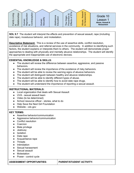

**SOL 9.7** The student will interpret the effects and prevention of sexual assault, rape (including date rape), incestuous behavior, and molestation.

**Descriptive Statement:** This is a review of the use of assertive skills, conflict resolution, avoidance of risk situations, and referral services in the community. In addition to identifying such factors, the student explains or interprets them to others. The student will demonstrate proper approaches to dealing with physically and mentally abusive relationships. The student will identify the appropriate and inappropriate use of electronic devices.

#### **ESSENTIAL KNOWLEDGE & SKILLS:**

- The student will review the difference between assertive, aggressive, and passive behaviors.
- The student will review the importance of the avoidance of risky behaviors.
- The student will be able to review the warning signs of abusive behaviors.
- The student will distinguish between healthy and abusive relationships.
- The student will be able to identify different types of abuse.
- The student will be able to identify how to avoid date rape drugs.
- The student will understand the importance of reporting a sexual assault.

#### **INSTRUCTIONAL MATERIALS:**

- Local organization that deals with Sexual Assault
- UVA sexual assault team
- Video (to be determined)
- School resource officer stories, what to do
- Help Save the Next Girl Foundation
- Website cdc.gov

#### **KEY TERMS:**

- Assertive behavior/communication
- Aggressive behavior/communication
- Conflict resolution
- Coercion
- Male privilege
- Jealousy
- Isolation
- Date rape
- Acquaintance rape
- Threats
- Intimidation
- Sexual harassment
- Sexual assault
- Molestation
- Power control cycle

**ASSESSMENT OPPORTUNITIES: PARENT/STUDENT ACTIVITY:**